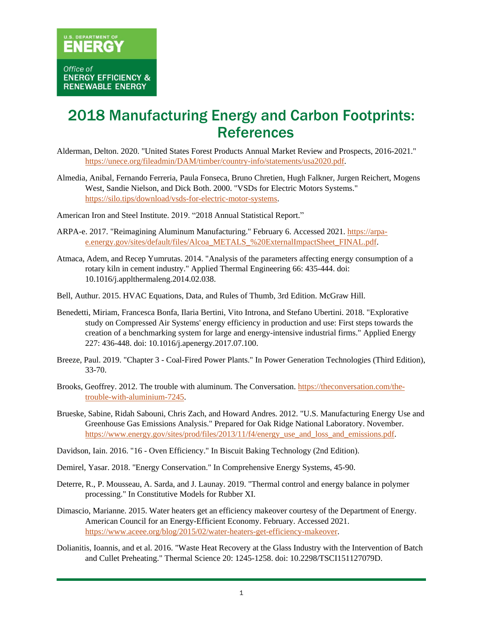## 2018 Manufacturing Energy and Carbon Footprints: **References**

- Alderman, Delton. 2020. "United States Forest Products Annual Market Review and Prospects, 2016-2021." [https://unece.org/fileadmin/DAM/timber/country-info/statements/usa2020.pdf.](https://unece.org/fileadmin/DAM/timber/country-info/statements/usa2020.pdf)
- Almedia, Anibal, Fernando Ferreria, Paula Fonseca, Bruno Chretien, Hugh Falkner, Jurgen Reichert, Mogens West, Sandie Nielson, and Dick Both. 2000. "VSDs for Electric Motors Systems." [https://silo.tips/download/vsds-for-electric-motor-systems.](https://silo.tips/download/vsds-for-electric-motor-systems)
- American Iron and Steel Institute. 2019. "2018 Annual Statistical Report."
- ARPA-e. 2017. "Reimagining Aluminum Manufacturing." February 6. Accessed 2021. [https://arpa](https://arpa-e.energy.gov/sites/default/files/Alcoa_METALS_%20ExternalImpactSheet_FINAL.pdf)[e.energy.gov/sites/default/files/Alcoa\\_METALS\\_%20ExternalImpactSheet\\_FINAL.pdf.](https://arpa-e.energy.gov/sites/default/files/Alcoa_METALS_%20ExternalImpactSheet_FINAL.pdf)
- Atmaca, Adem, and Recep Yumrutas. 2014. "Analysis of the parameters affecting energy consumption of a rotary kiln in cement industry." Applied Thermal Engineering 66: 435-444. doi: 10.1016/j.applthermaleng.2014.02.038.
- Bell, Authur. 2015. HVAC Equations, Data, and Rules of Thumb, 3rd Edition. McGraw Hill.
- Benedetti, Miriam, Francesca Bonfa, Ilaria Bertini, Vito Introna, and Stefano Ubertini. 2018. "Explorative study on Compressed Air Systems' energy efficiency in production and use: First steps towards the creation of a benchmarking system for large and energy-intensive industrial firms." Applied Energy 227: 436-448. doi: 10.1016/j.apenergy.2017.07.100.
- Breeze, Paul. 2019. "Chapter 3 Coal-Fired Power Plants." In Power Generation Technologies (Third Edition), 33-70.
- Brooks, Geoffrey. 2012. The trouble with aluminum. The Conversation[. https://theconversation.com/the](https://theconversation.com/the-trouble-with-aluminium-7245)[trouble-with-aluminium-7245.](https://theconversation.com/the-trouble-with-aluminium-7245)
- Brueske, Sabine, Ridah Sabouni, Chris Zach, and Howard Andres. 2012. "U.S. Manufacturing Energy Use and Greenhouse Gas Emissions Analysis." Prepared for Oak Ridge National Laboratory. November. [https://www.energy.gov/sites/prod/files/2013/11/f4/energy\\_use\\_and\\_loss\\_and\\_emissions.pdf.](https://www.energy.gov/sites/prod/files/2013/11/f4/energy_use_and_loss_and_emissions.pdf)
- Davidson, Iain. 2016. "16 Oven Efficiency." In Biscuit Baking Technology (2nd Edition).
- Demirel, Yasar. 2018. "Energy Conservation." In Comprehensive Energy Systems, 45-90.
- Deterre, R., P. Mousseau, A. Sarda, and J. Launay. 2019. "Thermal control and energy balance in polymer processing." In Constitutive Models for Rubber XI.
- Dimascio, Marianne. 2015. Water heaters get an efficiency makeover courtesy of the Department of Energy. American Council for an Energy-Efficient Economy. February. Accessed 2021. [https://www.aceee.org/blog/2015/02/water-heaters-get-efficiency-makeover.](https://www.aceee.org/blog/2015/02/water-heaters-get-efficiency-makeover)
- Dolianitis, Ioannis, and et al. 2016. "Waste Heat Recovery at the Glass Industry with the Intervention of Batch and Cullet Preheating." Thermal Science 20: 1245-1258. doi: 10.2298/TSCI151127079D.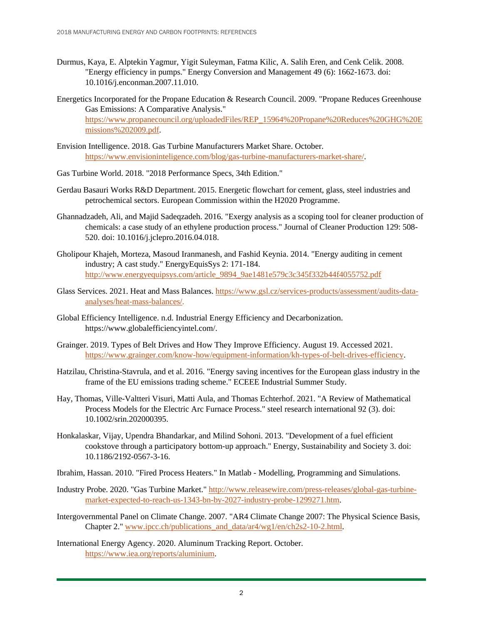- Durmus, Kaya, E. Alptekin Yagmur, Yigit Suleyman, Fatma Kilic, A. Salih Eren, and Cenk Celik. 2008. "Energy efficiency in pumps." Energy Conversion and Management 49 (6): 1662-1673. doi: 10.1016/j.enconman.2007.11.010.
- Energetics Incorporated for the Propane Education & Research Council. 2009. "Propane Reduces Greenhouse Gas Emissions: A Comparative Analysis." [https://www.propanecouncil.org/uploadedFiles/REP\\_15964%20Propane%20Reduces%20GHG%20E](https://www.propanecouncil.org/uploadedFiles/REP_15964%20Propane%20Reduces%20GHG%20Emissions%202009.pdf) [missions%202009.pdf.](https://www.propanecouncil.org/uploadedFiles/REP_15964%20Propane%20Reduces%20GHG%20Emissions%202009.pdf)
- Envision Intelligence. 2018. Gas Turbine Manufacturers Market Share. October. [https://www.envisioninteligence.com/blog/gas-turbine-manufacturers-market-share/.](https://www.envisioninteligence.com/blog/gas-turbine-manufacturers-market-share/)
- Gas Turbine World. 2018. "2018 Performance Specs, 34th Edition."
- Gerdau Basauri Works R&D Department. 2015. Energetic flowchart for cement, glass, steel industries and petrochemical sectors. European Commission within the H2020 Programme.
- Ghannadzadeh, Ali, and Majid Sadeqzadeh. 2016. "Exergy analysis as a scoping tool for cleaner production of chemicals: a case study of an ethylene production process." Journal of Cleaner Production 129: 508- 520. doi: 10.1016/j.jclepro.2016.04.018.
- Gholipour Khajeh, Morteza, Masoud Iranmanesh, and Fashid Keynia. 2014. "Energy auditing in cement industry; A cast study." EnergyEquisSys 2: 171-184. [http://www.energyequipsys.com/article\\_9894\\_9ae1481e579c3c345f332b44f4055752.pdf](http://www.energyequipsys.com/article_9894_9ae1481e579c3c345f332b44f4055752.pdf)
- Glass Services. 2021. Heat and Mass Balances. [https://www.gsl.cz/services-products/assessment/audits-data](https://www.gsl.cz/services-products/assessment/audits-data-analyses/heat-mass-balances/)[analyses/heat-mass-balances/.](https://www.gsl.cz/services-products/assessment/audits-data-analyses/heat-mass-balances/)
- Global Efficiency Intelligence. n.d. Industrial Energy Efficiency and Decarbonization. https://www.globalefficiencyintel.com/.
- Grainger. 2019. Types of Belt Drives and How They Improve Efficiency. August 19. Accessed 2021. [https://www.grainger.com/know-how/equipment-information/kh-types-of-belt-drives-efficiency.](https://www.grainger.com/know-how/equipment-information/kh-types-of-belt-drives-efficiency)
- Hatzilau, Christina-Stavrula, and et al. 2016. "Energy saving incentives for the European glass industry in the frame of the EU emissions trading scheme." ECEEE Industrial Summer Study.
- Hay, Thomas, Ville-Valtteri Visuri, Matti Aula, and Thomas Echterhof. 2021. "A Review of Mathematical Process Models for the Electric Arc Furnace Process." steel research international 92 (3). doi: 10.1002/srin.202000395.
- Honkalaskar, Vijay, Upendra Bhandarkar, and Milind Sohoni. 2013. "Development of a fuel efficient cookstove through a participatory bottom-up approach." Energy, Sustainability and Society 3. doi: 10.1186/2192-0567-3-16.
- Ibrahim, Hassan. 2010. "Fired Process Heaters." In Matlab Modelling, Programming and Simulations.
- Industry Probe. 2020. "Gas Turbine Market." [http://www.releasewire.com/press-releases/global-gas-turbine](http://www.releasewire.com/press-releases/global-gas-turbine-market-expected-to-reach-us-1343-bn-by-2027-industry-probe-1299271.htm)[market-expected-to-reach-us-1343-bn-by-2027-industry-probe-1299271.htm.](http://www.releasewire.com/press-releases/global-gas-turbine-market-expected-to-reach-us-1343-bn-by-2027-industry-probe-1299271.htm)
- Intergovernmental Panel on Climate Change. 2007. "AR4 Climate Change 2007: The Physical Science Basis, Chapter 2." [www.ipcc.ch/publications\\_and\\_data/ar4/wg1/en/ch2s2-10-2.html.](http://www.ipcc.ch/publications_and_data/ar4/wg1/en/ch2s2-10-2.html)
- International Energy Agency. 2020. Aluminum Tracking Report. October. [https://www.iea.org/reports/aluminium.](https://www.iea.org/reports/aluminium)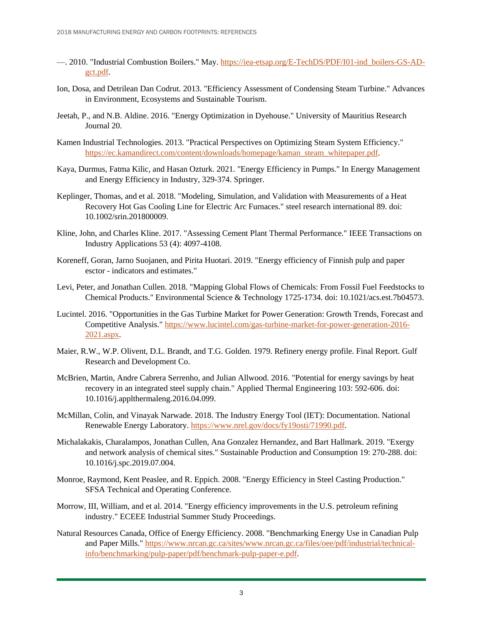- —. 2010. "Industrial Combustion Boilers." May[. https://iea-etsap.org/E-TechDS/PDF/I01-ind\\_boilers-GS-AD](https://iea-etsap.org/E-TechDS/PDF/I01-ind_boilers-GS-AD-gct.pdf)[gct.pdf.](https://iea-etsap.org/E-TechDS/PDF/I01-ind_boilers-GS-AD-gct.pdf)
- Ion, Dosa, and Detrilean Dan Codrut. 2013. "Efficiency Assessment of Condensing Steam Turbine." Advances in Environment, Ecosystems and Sustainable Tourism.
- Jeetah, P., and N.B. Aldine. 2016. "Energy Optimization in Dyehouse." University of Mauritius Research Journal 20.
- Kamen Industrial Technologies. 2013. "Practical Perspectives on Optimizing Steam System Efficiency." [https://ec.kamandirect.com/content/downloads/homepage/kaman\\_steam\\_whitepaper.pdf.](https://ec.kamandirect.com/content/downloads/homepage/kaman_steam_whitepaper.pdf)
- Kaya, Durmus, Fatma Kilic, and Hasan Ozturk. 2021. "Energy Efficiency in Pumps." In Energy Management and Energy Efficiency in Industry, 329-374. Springer.
- Keplinger, Thomas, and et al. 2018. "Modeling, Simulation, and Validation with Measurements of a Heat Recovery Hot Gas Cooling Line for Electric Arc Furnaces." steel research international 89. doi: 10.1002/srin.201800009.
- Kline, John, and Charles Kline. 2017. "Assessing Cement Plant Thermal Performance." IEEE Transactions on Industry Applications 53 (4): 4097-4108.
- Koreneff, Goran, Jarno Suojanen, and Pirita Huotari. 2019. "Energy efficiency of Finnish pulp and paper esctor - indicators and estimates."
- Levi, Peter, and Jonathan Cullen. 2018. "Mapping Global Flows of Chemicals: From Fossil Fuel Feedstocks to Chemical Products." Environmental Science & Technology 1725-1734. doi: 10.1021/acs.est.7b04573.
- Lucintel. 2016. "Opportunities in the Gas Turbine Market for Power Generation: Growth Trends, Forecast and Competitive Analysis." [https://www.lucintel.com/gas-turbine-market-for-power-generation-2016-](https://www.lucintel.com/gas-turbine-market-for-power-generation-2016-2021.aspx) [2021.aspx.](https://www.lucintel.com/gas-turbine-market-for-power-generation-2016-2021.aspx)
- Maier, R.W., W.P. Olivent, D.L. Brandt, and T.G. Golden. 1979. Refinery energy profile. Final Report. Gulf Research and Development Co.
- McBrien, Martin, Andre Cabrera Serrenho, and Julian Allwood. 2016. "Potential for energy savings by heat recovery in an integrated steel supply chain." Applied Thermal Engineering 103: 592-606. doi: 10.1016/j.applthermaleng.2016.04.099.
- McMillan, Colin, and Vinayak Narwade. 2018. The Industry Energy Tool (IET): Documentation. National Renewable Energy Laboratory. [https://www.nrel.gov/docs/fy19osti/71990.pdf.](https://www.nrel.gov/docs/fy19osti/71990.pdf)
- Michalakakis, Charalampos, Jonathan Cullen, Ana Gonzalez Hernandez, and Bart Hallmark. 2019. "Exergy and network analysis of chemical sites." Sustainable Production and Consumption 19: 270-288. doi: 10.1016/j.spc.2019.07.004.
- Monroe, Raymond, Kent Peaslee, and R. Eppich. 2008. "Energy Efficiency in Steel Casting Production." SFSA Technical and Operating Conference.
- Morrow, III, William, and et al. 2014. "Energy efficiency improvements in the U.S. petroleum refining industry." ECEEE Industrial Summer Study Proceedings.
- Natural Resources Canada, Office of Energy Efficiency. 2008. "Benchmarking Energy Use in Canadian Pulp and Paper Mills." [https://www.nrcan.gc.ca/sites/www.nrcan.gc.ca/files/oee/pdf/industrial/technical](https://www.nrcan.gc.ca/sites/www.nrcan.gc.ca/files/oee/pdf/industrial/technical-info/benchmarking/pulp-paper/pdf/benchmark-pulp-paper-e.pdf)[info/benchmarking/pulp-paper/pdf/benchmark-pulp-paper-e.pdf.](https://www.nrcan.gc.ca/sites/www.nrcan.gc.ca/files/oee/pdf/industrial/technical-info/benchmarking/pulp-paper/pdf/benchmark-pulp-paper-e.pdf)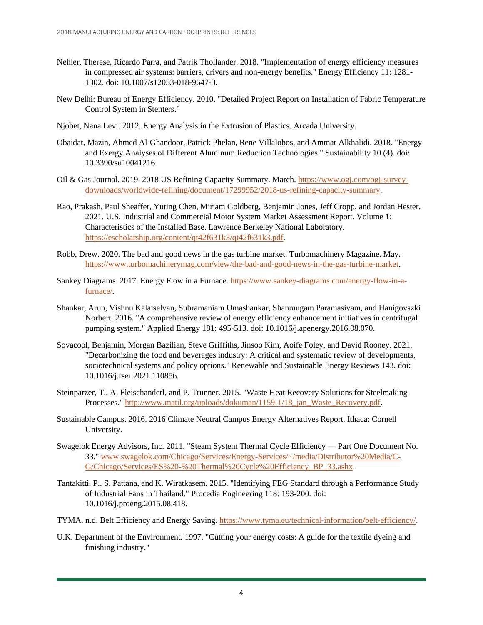- Nehler, Therese, Ricardo Parra, and Patrik Thollander. 2018. "Implementation of energy efficiency measures in compressed air systems: barriers, drivers and non-energy benefits." Energy Efficiency 11: 1281- 1302. doi: 10.1007/s12053-018-9647-3.
- New Delhi: Bureau of Energy Efficiency. 2010. "Detailed Project Report on Installation of Fabric Temperature Control System in Stenters."
- Njobet, Nana Levi. 2012. Energy Analysis in the Extrusion of Plastics. Arcada University.
- Obaidat, Mazin, Ahmed Al-Ghandoor, Patrick Phelan, Rene Villalobos, and Ammar Alkhalidi. 2018. "Energy and Exergy Analyses of Different Aluminum Reduction Technologies." Sustainability 10 (4). doi: 10.3390/su10041216
- Oil & Gas Journal. 2019. 2018 US Refining Capacity Summary. March. [https://www.ogj.com/ogj-survey](https://www.ogj.com/ogj-survey-downloads/worldwide-refining/document/17299952/2018-us-refining-capacity-summary)[downloads/worldwide-refining/document/17299952/2018-us-refining-capacity-summary.](https://www.ogj.com/ogj-survey-downloads/worldwide-refining/document/17299952/2018-us-refining-capacity-summary)
- Rao, Prakash, Paul Sheaffer, Yuting Chen, Miriam Goldberg, Benjamin Jones, Jeff Cropp, and Jordan Hester. 2021. U.S. Industrial and Commercial Motor System Market Assessment Report. Volume 1: Characteristics of the Installed Base. Lawrence Berkeley National Laboratory. [https://escholarship.org/content/qt42f631k3/qt42f631k3.pdf.](https://escholarship.org/content/qt42f631k3/qt42f631k3.pdf)
- Robb, Drew. 2020. The bad and good news in the gas turbine market. Turbomachinery Magazine. May. [https://www.turbomachinerymag.com/view/the-bad-and-good-news-in-the-gas-turbine-market.](https://www.turbomachinerymag.com/view/the-bad-and-good-news-in-the-gas-turbine-market)
- Sankey Diagrams. 2017. Energy Flow in a Furnace. https://www.sankey-diagrams.com/energy-flow-in-afurnace/.
- Shankar, Arun, Vishnu Kalaiselvan, Subramaniam Umashankar, Shanmugam Paramasivam, and Hanigovszki Norbert. 2016. "A comprehensive review of energy efficiency enhancement initiatives in centrifugal pumping system." Applied Energy 181: 495-513. doi: 10.1016/j.apenergy.2016.08.070.
- Sovacool, Benjamin, Morgan Bazilian, Steve Griffiths, Jinsoo Kim, Aoife Foley, and David Rooney. 2021. "Decarbonizing the food and beverages industry: A critical and systematic review of developments, sociotechnical systems and policy options." Renewable and Sustainable Energy Reviews 143. doi: 10.1016/j.rser.2021.110856.
- Steinparzer, T., A. Fleischanderl, and P. Trunner. 2015. "Waste Heat Recovery Solutions for Steelmaking Processes." [http://www.matil.org/uploads/dokuman/1159-1/18\\_jan\\_Waste\\_Recovery.pdf.](http://www.matil.org/uploads/dokuman/1159-1/18_jan_Waste_Recovery.pdf)
- Sustainable Campus. 2016. 2016 Climate Neutral Campus Energy Alternatives Report. Ithaca: Cornell University.
- Swagelok Energy Advisors, Inc. 2011. "Steam System Thermal Cycle Efficiency Part One Document No. 33." [www.swagelok.com/Chicago/Services/Energy-Services/~/media/Distributor%20Media/C-](http://www.swagelok.com/Chicago/Services/Energy-Services/~/media/Distributor%20Media/C-G/Chicago/Services/ES%20-%20Thermal%20Cycle%20Efficiency_BP_33.ashx)[G/Chicago/Services/ES%20-%20Thermal%20Cycle%20Efficiency\\_BP\\_33.ashx.](http://www.swagelok.com/Chicago/Services/Energy-Services/~/media/Distributor%20Media/C-G/Chicago/Services/ES%20-%20Thermal%20Cycle%20Efficiency_BP_33.ashx)
- Tantakitti, P., S. Pattana, and K. Wiratkasem. 2015. "Identifying FEG Standard through a Performance Study of Industrial Fans in Thailand." Procedia Engineering 118: 193-200. doi: 10.1016/j.proeng.2015.08.418.
- TYMA. n.d. Belt Efficiency and Energy Saving. [https://www.tyma.eu/technical-information/belt-efficiency/.](https://www.tyma.eu/technical-information/belt-efficiency/)
- U.K. Department of the Environment. 1997. "Cutting your energy costs: A guide for the textile dyeing and finishing industry."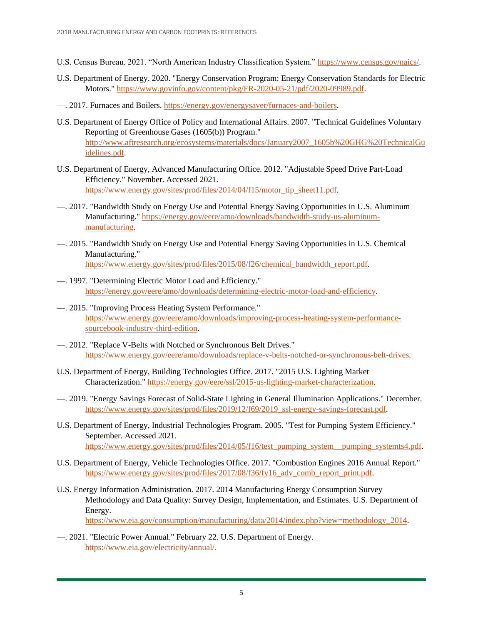- U.S. Census Bureau. 2021. "North American Industry Classification System.[" https://www.census.gov/naics/.](https://www.census.gov/naics/)
- U.S. Department of Energy. 2020. "Energy Conservation Program: Energy Conservation Standards for Electric Motors." [https://www.govinfo.gov/content/pkg/FR-2020-05-21/pdf/2020-09989.pdf.](https://www.govinfo.gov/content/pkg/FR-2020-05-21/pdf/2020-09989.pdf)
- —. 2017. Furnaces and Boilers. [https://energy.gov/energysaver/furnaces-and-boilers.](https://energy.gov/energysaver/furnaces-and-boilers)
- U.S. Department of Energy Office of Policy and International Affairs. 2007. "Technical Guidelines Voluntary Reporting of Greenhouse Gases (1605(b)) Program." [http://www.aftresearch.org/ecosystems/materials/docs/January2007\\_1605b%20GHG%20TechnicalGu](http://www.aftresearch.org/ecosystems/materials/docs/January2007_1605b%20GHG%20TechnicalGuidelines.pdf) [idelines.pdf.](http://www.aftresearch.org/ecosystems/materials/docs/January2007_1605b%20GHG%20TechnicalGuidelines.pdf)
- U.S. Department of Energy, Advanced Manufacturing Office. 2012. "Adjustable Speed Drive Part-Load Efficiency." November. Accessed 2021. [https://www.energy.gov/sites/prod/files/2014/04/f15/motor\\_tip\\_sheet11.pdf.](https://www.energy.gov/sites/prod/files/2014/04/f15/motor_tip_sheet11.pdf)
- —. 2017. "Bandwidth Study on Energy Use and Potential Energy Saving Opportunities in U.S. Aluminum Manufacturing." [https://energy.gov/eere/amo/downloads/bandwidth-study-us-aluminum](https://energy.gov/eere/amo/downloads/bandwidth-study-us-aluminum-manufacturing)[manufacturing.](https://energy.gov/eere/amo/downloads/bandwidth-study-us-aluminum-manufacturing)
- —. 2015. "Bandwidth Study on Energy Use and Potential Energy Saving Opportunities in U.S. Chemical Manufacturing." [https://www.energy.gov/sites/prod/files/2015/08/f26/chemical\\_bandwidth\\_report.pdf.](https://www.energy.gov/sites/prod/files/2015/08/f26/chemical_bandwidth_report.pdf)
- —. 1997. "Determining Electric Motor Load and Efficiency." [https://energy.gov/eere/amo/downloads/determining-electric-motor-load-and-efficiency.](https://energy.gov/eere/amo/downloads/determining-electric-motor-load-and-efficiency)
- —. 2015. "Improving Process Heating System Performance." [https://www.energy.gov/eere/amo/downloads/improving-process-heating-system-performance](https://www.energy.gov/eere/amo/downloads/improving-process-heating-system-performance-sourcebook-industry-third-edition)[sourcebook-industry-third-edition.](https://www.energy.gov/eere/amo/downloads/improving-process-heating-system-performance-sourcebook-industry-third-edition)
- —. 2012. "Replace V-Belts with Notched or Synchronous Belt Drives." [https://www.energy.gov/eere/amo/downloads/replace-v-belts-notched-or-synchronous-belt-drives.](https://www.energy.gov/eere/amo/downloads/replace-v-belts-notched-or-synchronous-belt-drives)
- U.S. Department of Energy, Building Technologies Office. 2017. "2015 U.S. Lighting Market Characterization." [https://energy.gov/eere/ssl/2015-us-lighting-market-characterization.](https://energy.gov/eere/ssl/2015-us-lighting-market-characterization)
- —. 2019. "Energy Savings Forecast of Solid-State Lighting in General Illumination Applications." December. [https://www.energy.gov/sites/prod/files/2019/12/f69/2019\\_ssl-energy-savings-forecast.pdf.](https://www.energy.gov/sites/prod/files/2019/12/f69/2019_ssl-energy-savings-forecast.pdf)
- U.S. Department of Energy, Industrial Technologies Program. 2005. "Test for Pumping System Efficiency." September. Accessed 2021. [https://www.energy.gov/sites/prod/files/2014/05/f16/test\\_pumping\\_system\\_\\_pumping\\_systemts4.pdf.](https://www.energy.gov/sites/prod/files/2014/05/f16/test_pumping_system__pumping_systemts4.pdf)
- U.S. Department of Energy, Vehicle Technologies Office. 2017. "Combustion Engines 2016 Annual Report." https://www.energy.gov/sites/prod/files/2017/08/f36/fy16 adv comb report print.pdf.
- U.S. Energy Information Administration. 2017. 2014 Manufacturing Energy Consumption Survey Methodology and Data Quality: Survey Design, Implementation, and Estimates. U.S. Department of Energy. [https://www.eia.gov/consumption/manufacturing/data/2014/index.php?view=methodology\\_2014.](https://www.eia.gov/consumption/manufacturing/data/2014/index.php?view=methodology_2014)
- —. 2021. "Electric Power Annual." February 22. U.S. Department of Energy. https://www.eia.gov/electricity/annual/.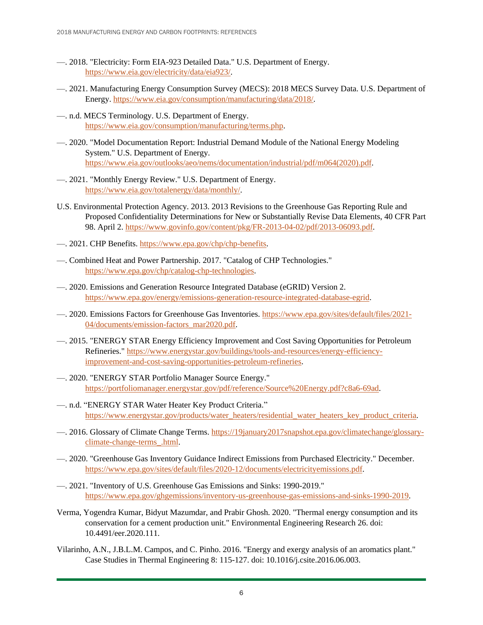- —. 2018. "Electricity: Form EIA-923 Detailed Data." U.S. Department of Energy. [https://www.eia.gov/electricity/data/eia923/.](https://www.eia.gov/electricity/data/eia923/)
- —. 2021. Manufacturing Energy Consumption Survey (MECS): 2018 MECS Survey Data. U.S. Department of Energy[. https://www.eia.gov/consumption/manufacturing/data/2018/.](https://www.eia.gov/consumption/manufacturing/data/2018/)
- —. n.d. MECS Terminology. U.S. Department of Energy. [https://www.eia.gov/consumption/manufacturing/terms.php.](https://www.eia.gov/consumption/manufacturing/terms.php)
- —. 2020. "Model Documentation Report: Industrial Demand Module of the National Energy Modeling System." U.S. Department of Energy. [https://www.eia.gov/outlooks/aeo/nems/documentation/industrial/pdf/m064\(2020\).pdf.](https://www.eia.gov/outlooks/aeo/nems/documentation/industrial/pdf/m064(2020).pdf)
- —. 2021. "Monthly Energy Review." U.S. Department of Energy. [https://www.eia.gov/totalenergy/data/monthly/.](https://www.eia.gov/totalenergy/data/monthly/)
- U.S. Environmental Protection Agency. 2013. 2013 Revisions to the Greenhouse Gas Reporting Rule and Proposed Confidentiality Determinations for New or Substantially Revise Data Elements, 40 CFR Part 98. April 2. [https://www.govinfo.gov/content/pkg/FR-2013-04-02/pdf/2013-06093.pdf.](https://www.govinfo.gov/content/pkg/FR-2013-04-02/pdf/2013-06093.pdf)
- —. 2021. CHP Benefits. [https://www.epa.gov/chp/chp-benefits.](https://www.epa.gov/chp/chp-benefits)
- —. Combined Heat and Power Partnership. 2017. "Catalog of CHP Technologies." [https://www.epa.gov/chp/catalog-chp-technologies.](https://www.epa.gov/chp/catalog-chp-technologies)
- —. 2020. Emissions and Generation Resource Integrated Database (eGRID) Version 2. [https://www.epa.gov/energy/emissions-generation-resource-integrated-database-egrid.](https://www.epa.gov/energy/emissions-generation-resource-integrated-database-egrid)
- —. 2020. Emissions Factors for Greenhouse Gas Inventories. [https://www.epa.gov/sites/default/files/2021-](https://www.epa.gov/sites/default/files/2021-04/documents/emission-factors_mar2020.pdf) [04/documents/emission-factors\\_mar2020.pdf.](https://www.epa.gov/sites/default/files/2021-04/documents/emission-factors_mar2020.pdf)
- —. 2015. "ENERGY STAR Energy Efficiency Improvement and Cost Saving Opportunities for Petroleum Refineries." [https://www.energystar.gov/buildings/tools-and-resources/energy-efficiency](https://www.energystar.gov/buildings/tools-and-resources/energy-efficiency-improvement-and-cost-saving-opportunities-petroleum-refineries)[improvement-and-cost-saving-opportunities-petroleum-refineries.](https://www.energystar.gov/buildings/tools-and-resources/energy-efficiency-improvement-and-cost-saving-opportunities-petroleum-refineries)
- —. 2020. "ENERGY STAR Portfolio Manager Source Energy." [https://portfoliomanager.energystar.gov/pdf/reference/Source%20Energy.pdf?c8a6-69ad.](https://portfoliomanager.energystar.gov/pdf/reference/Source%20Energy.pdf?c8a6-69ad)
- —. n.d. "ENERGY STAR Water Heater Key Product Criteria." [https://www.energystar.gov/products/water\\_heaters/residential\\_water\\_heaters\\_key\\_product\\_criteria.](https://www.energystar.gov/products/water_heaters/residential_water_heaters_key_product_criteria)
- —. 2016. Glossary of Climate Change Terms. [https://19january2017snapshot.epa.gov/climatechange/glossary](https://19january2017snapshot.epa.gov/climatechange/glossary-climate-change-terms_.html)[climate-change-terms\\_.html.](https://19january2017snapshot.epa.gov/climatechange/glossary-climate-change-terms_.html)
- —. 2020. "Greenhouse Gas Inventory Guidance Indirect Emissions from Purchased Electricity." December. [https://www.epa.gov/sites/default/files/2020-12/documents/electricityemissions.pdf.](https://www.epa.gov/sites/default/files/2020-12/documents/electricityemissions.pdf)
- —. 2021. "Inventory of U.S. Greenhouse Gas Emissions and Sinks: 1990-2019." [https://www.epa.gov/ghgemissions/inventory-us-greenhouse-gas-emissions-and-sinks-1990-2019.](https://www.epa.gov/ghgemissions/inventory-us-greenhouse-gas-emissions-and-sinks-1990-2019)
- Verma, Yogendra Kumar, Bidyut Mazumdar, and Prabir Ghosh. 2020. "Thermal energy consumption and its conservation for a cement production unit." Environmental Engineering Research 26. doi: 10.4491/eer.2020.111.
- Vilarinho, A.N., J.B.L.M. Campos, and C. Pinho. 2016. "Energy and exergy analysis of an aromatics plant." Case Studies in Thermal Engineering 8: 115-127. doi: 10.1016/j.csite.2016.06.003.